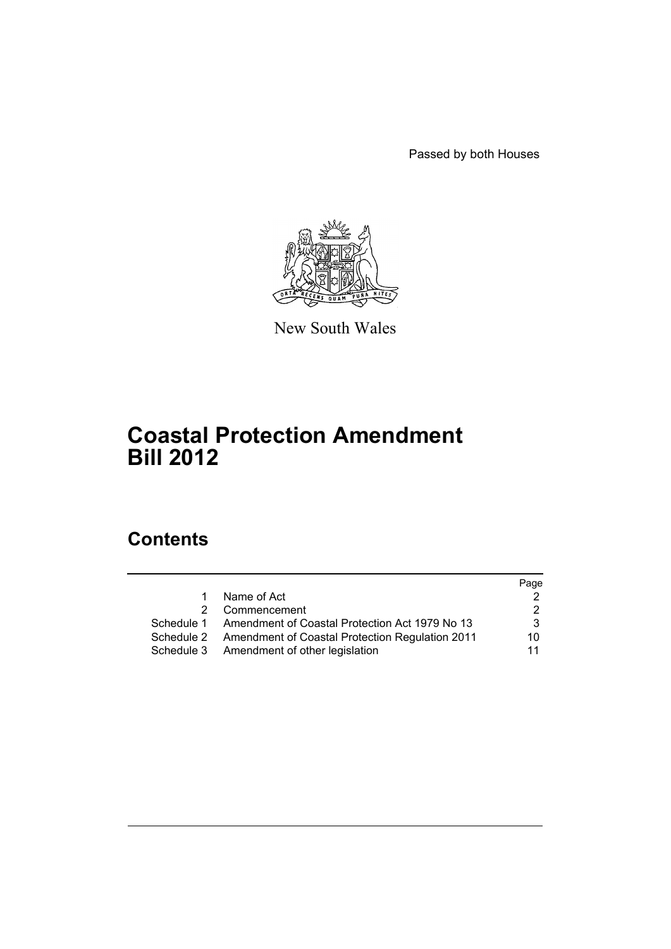Passed by both Houses



New South Wales

# **Coastal Protection Amendment Bill 2012**

# **Contents**

|   |                                                            | Page |
|---|------------------------------------------------------------|------|
| 1 | Name of Act                                                |      |
| 2 | Commencement                                               | 2    |
|   | Schedule 1 Amendment of Coastal Protection Act 1979 No 13  | 3    |
|   | Schedule 2 Amendment of Coastal Protection Regulation 2011 | 10   |
|   | Schedule 3 Amendment of other legislation                  | 11   |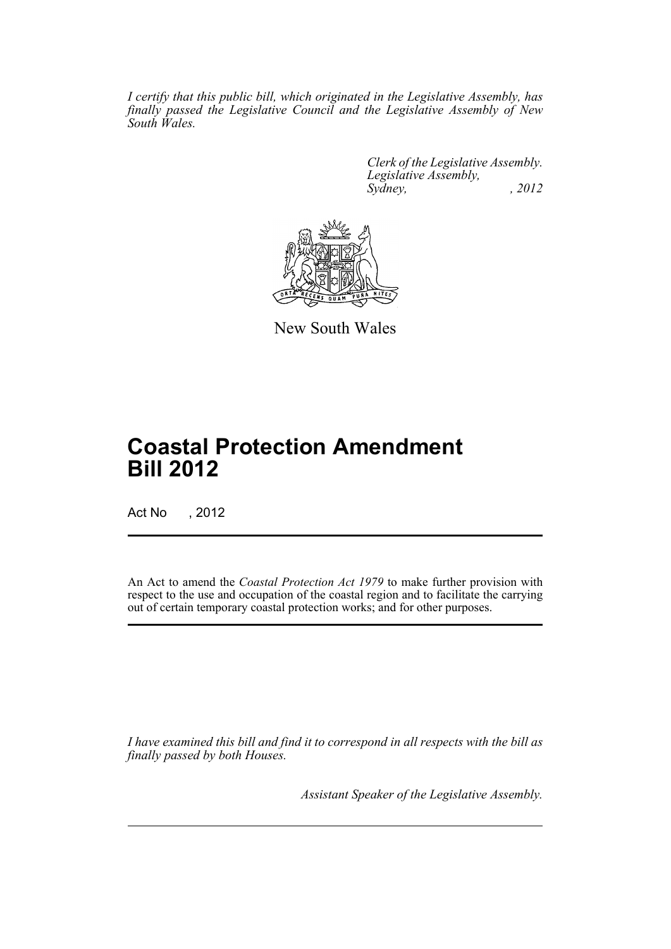*I certify that this public bill, which originated in the Legislative Assembly, has finally passed the Legislative Council and the Legislative Assembly of New South Wales.*

> *Clerk of the Legislative Assembly. Legislative Assembly, Sydney, , 2012*



New South Wales

# **Coastal Protection Amendment Bill 2012**

Act No , 2012

An Act to amend the *Coastal Protection Act 1979* to make further provision with respect to the use and occupation of the coastal region and to facilitate the carrying out of certain temporary coastal protection works; and for other purposes.

*I have examined this bill and find it to correspond in all respects with the bill as finally passed by both Houses.*

*Assistant Speaker of the Legislative Assembly.*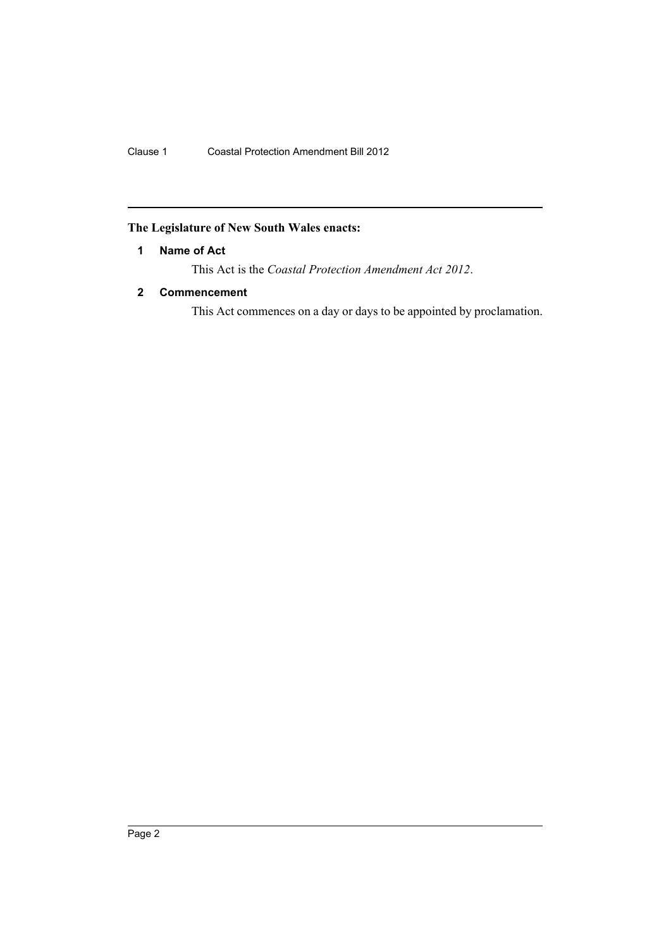## <span id="page-3-0"></span>**The Legislature of New South Wales enacts:**

## **1 Name of Act**

This Act is the *Coastal Protection Amendment Act 2012*.

## <span id="page-3-1"></span>**2 Commencement**

This Act commences on a day or days to be appointed by proclamation.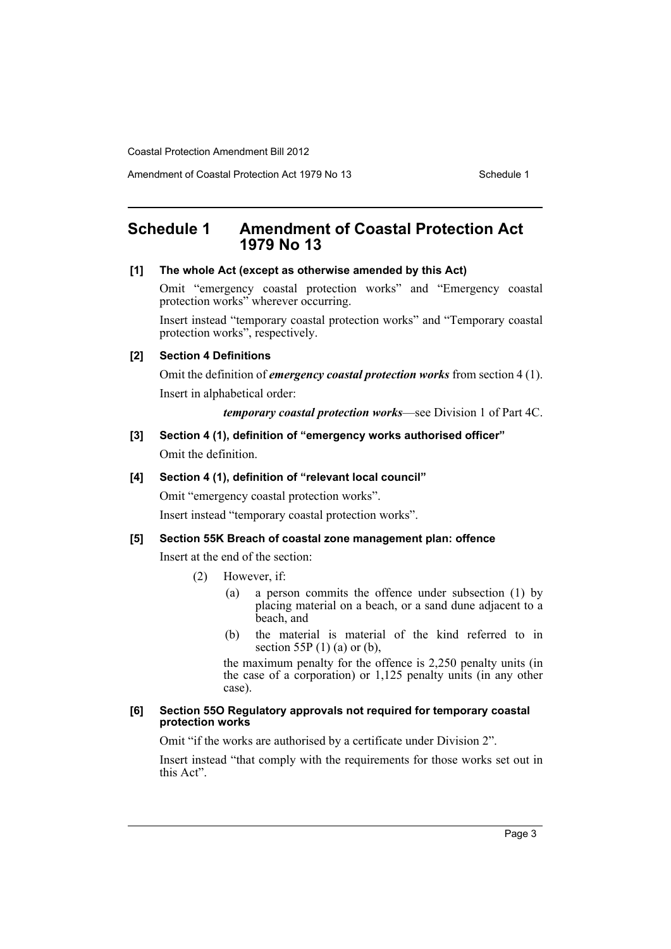Amendment of Coastal Protection Act 1979 No 13 Schedule 1

## <span id="page-4-0"></span>**Schedule 1 Amendment of Coastal Protection Act 1979 No 13**

#### **[1] The whole Act (except as otherwise amended by this Act)**

Omit "emergency coastal protection works" and "Emergency coastal protection works" wherever occurring.

Insert instead "temporary coastal protection works" and "Temporary coastal protection works", respectively.

#### **[2] Section 4 Definitions**

Omit the definition of *emergency coastal protection works* from section 4 (1). Insert in alphabetical order:

*temporary coastal protection works*—see Division 1 of Part 4C.

**[3] Section 4 (1), definition of "emergency works authorised officer"** Omit the definition.

#### **[4] Section 4 (1), definition of "relevant local council"**

Omit "emergency coastal protection works".

Insert instead "temporary coastal protection works".

## **[5] Section 55K Breach of coastal zone management plan: offence**

Insert at the end of the section:

- (2) However, if:
	- (a) a person commits the offence under subsection (1) by placing material on a beach, or a sand dune adjacent to a beach, and
	- (b) the material is material of the kind referred to in section 55P  $(1)$  (a) or (b),

the maximum penalty for the offence is 2,250 penalty units (in the case of a corporation) or 1,125 penalty units (in any other case).

#### **[6] Section 55O Regulatory approvals not required for temporary coastal protection works**

Omit "if the works are authorised by a certificate under Division 2".

Insert instead "that comply with the requirements for those works set out in this Act".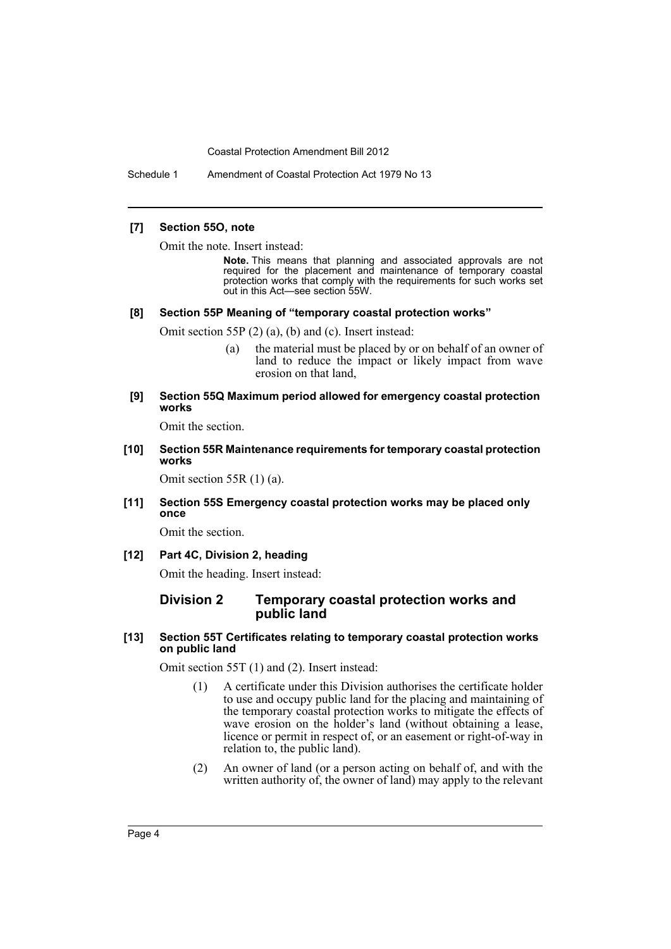Schedule 1 Amendment of Coastal Protection Act 1979 No 13

#### **[7] Section 55O, note**

Omit the note. Insert instead:

**Note.** This means that planning and associated approvals are not required for the placement and maintenance of temporary coastal protection works that comply with the requirements for such works set out in this Act—see section 55W.

#### **[8] Section 55P Meaning of "temporary coastal protection works"**

Omit section 55P (2) (a), (b) and (c). Insert instead:

- (a) the material must be placed by or on behalf of an owner of land to reduce the impact or likely impact from wave erosion on that land,
- **[9] Section 55Q Maximum period allowed for emergency coastal protection works**

Omit the section.

**[10] Section 55R Maintenance requirements for temporary coastal protection works**

Omit section 55R (1) (a).

**[11] Section 55S Emergency coastal protection works may be placed only once**

Omit the section.

**[12] Part 4C, Division 2, heading**

Omit the heading. Insert instead:

### **Division 2 Temporary coastal protection works and public land**

**[13] Section 55T Certificates relating to temporary coastal protection works on public land**

Omit section 55T (1) and (2). Insert instead:

- (1) A certificate under this Division authorises the certificate holder to use and occupy public land for the placing and maintaining of the temporary coastal protection works to mitigate the effects of wave erosion on the holder's land (without obtaining a lease, licence or permit in respect of, or an easement or right-of-way in relation to, the public land).
- (2) An owner of land (or a person acting on behalf of, and with the written authority of, the owner of land) may apply to the relevant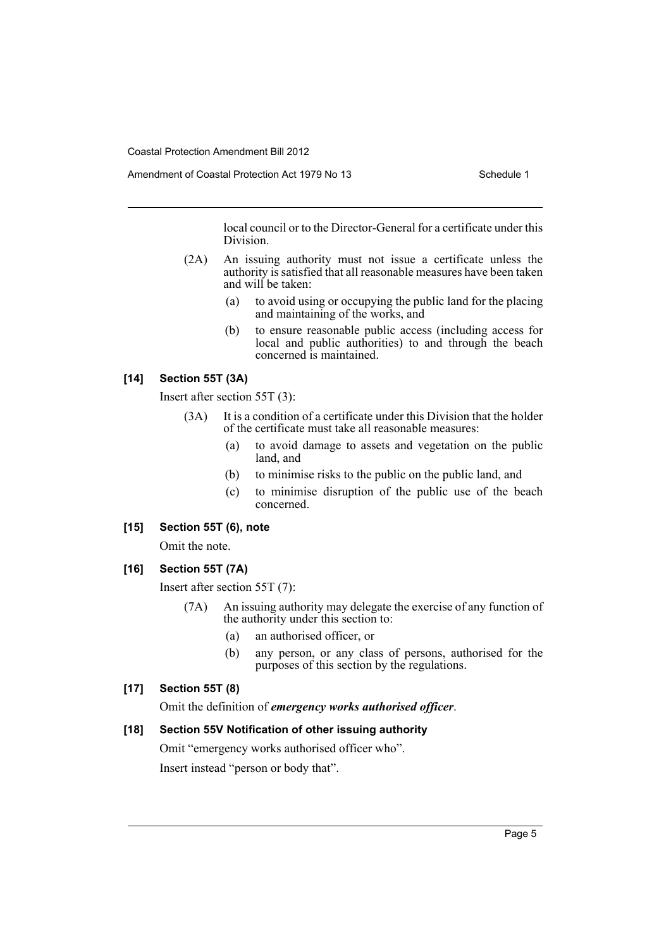local council or to the Director-General for a certificate under this Division.

- (2A) An issuing authority must not issue a certificate unless the authority is satisfied that all reasonable measures have been taken and will be taken:
	- (a) to avoid using or occupying the public land for the placing and maintaining of the works, and
	- (b) to ensure reasonable public access (including access for local and public authorities) to and through the beach concerned is maintained.

## **[14] Section 55T (3A)**

Insert after section 55T (3):

- (3A) It is a condition of a certificate under this Division that the holder of the certificate must take all reasonable measures:
	- (a) to avoid damage to assets and vegetation on the public land, and
	- (b) to minimise risks to the public on the public land, and
	- (c) to minimise disruption of the public use of the beach concerned.

## **[15] Section 55T (6), note**

Omit the note.

## **[16] Section 55T (7A)**

Insert after section 55T (7):

- (7A) An issuing authority may delegate the exercise of any function of the authority under this section to:
	- (a) an authorised officer, or
	- (b) any person, or any class of persons, authorised for the purposes of this section by the regulations.

## **[17] Section 55T (8)**

Omit the definition of *emergency works authorised officer*.

## **[18] Section 55V Notification of other issuing authority**

Omit "emergency works authorised officer who". Insert instead "person or body that".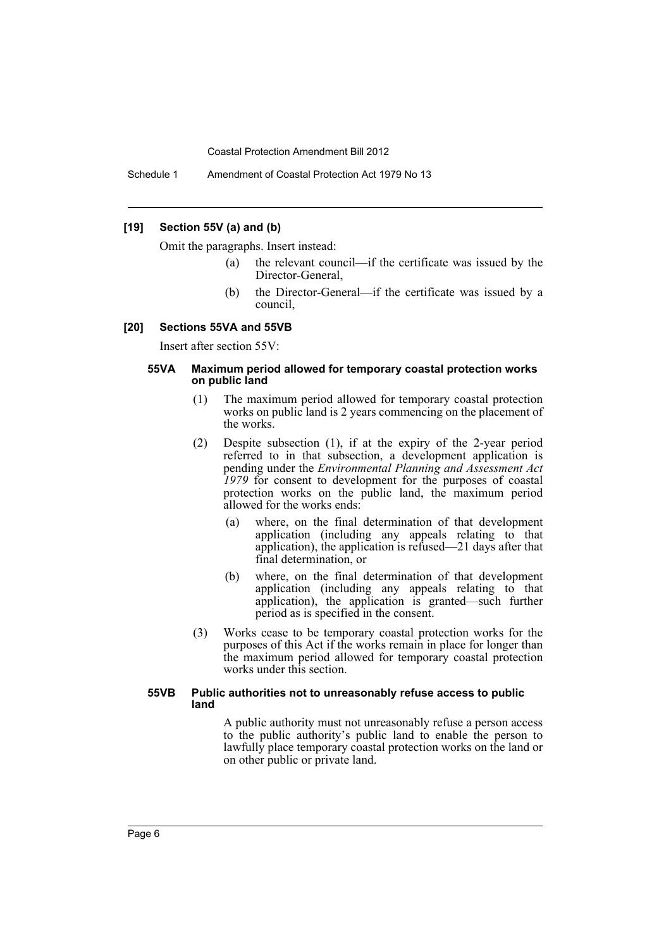Schedule 1 Amendment of Coastal Protection Act 1979 No 13

### **[19] Section 55V (a) and (b)**

Omit the paragraphs. Insert instead:

- (a) the relevant council—if the certificate was issued by the Director-General,
- (b) the Director-General—if the certificate was issued by a council,

#### **[20] Sections 55VA and 55VB**

Insert after section 55V:

#### **55VA Maximum period allowed for temporary coastal protection works on public land**

- (1) The maximum period allowed for temporary coastal protection works on public land is 2 years commencing on the placement of the works.
- (2) Despite subsection (1), if at the expiry of the 2-year period referred to in that subsection, a development application is pending under the *Environmental Planning and Assessment Act 1979* for consent to development for the purposes of coastal protection works on the public land, the maximum period allowed for the works ends:
	- (a) where, on the final determination of that development application (including any appeals relating to that application), the application is refused—21 days after that final determination, or
	- (b) where, on the final determination of that development application (including any appeals relating to that application), the application is granted—such further period as is specified in the consent.
- (3) Works cease to be temporary coastal protection works for the purposes of this Act if the works remain in place for longer than the maximum period allowed for temporary coastal protection works under this section.

#### **55VB Public authorities not to unreasonably refuse access to public land**

A public authority must not unreasonably refuse a person access to the public authority's public land to enable the person to lawfully place temporary coastal protection works on the land or on other public or private land.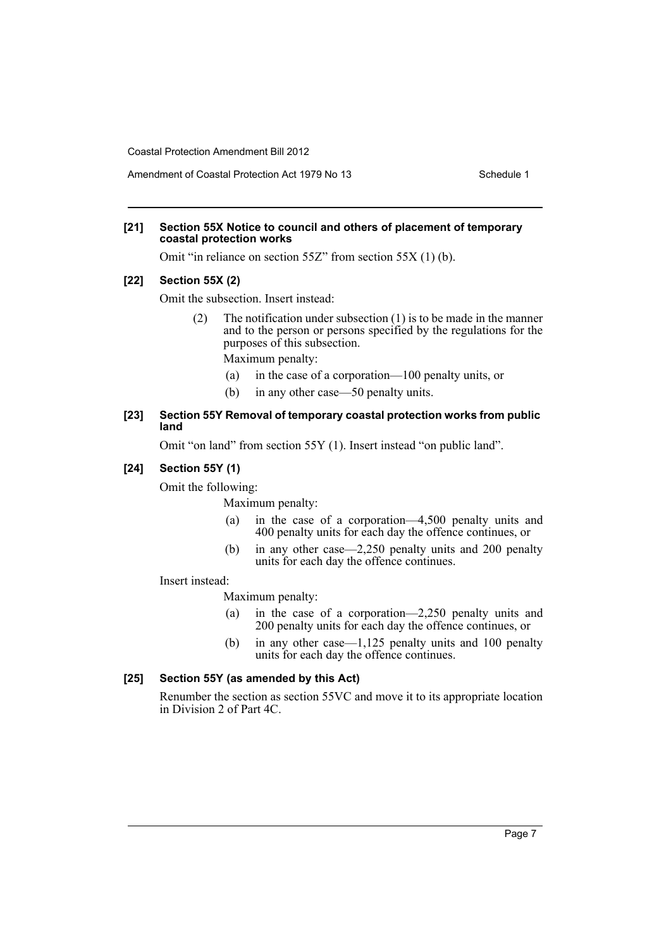Amendment of Coastal Protection Act 1979 No 13 Schedule 1

### **[21] Section 55X Notice to council and others of placement of temporary coastal protection works**

Omit "in reliance on section 55Z" from section 55X (1) (b).

## **[22] Section 55X (2)**

Omit the subsection. Insert instead:

(2) The notification under subsection (1) is to be made in the manner and to the person or persons specified by the regulations for the purposes of this subsection.

Maximum penalty:

- (a) in the case of a corporation—100 penalty units, or
- (b) in any other case—50 penalty units.

## **[23] Section 55Y Removal of temporary coastal protection works from public land**

Omit "on land" from section 55Y (1). Insert instead "on public land".

#### **[24] Section 55Y (1)**

Omit the following:

Maximum penalty:

- (a) in the case of a corporation—4,500 penalty units and 400 penalty units for each day the offence continues, or
- (b) in any other case—2,250 penalty units and 200 penalty units for each day the offence continues.

Insert instead:

Maximum penalty:

- (a) in the case of a corporation—2,250 penalty units and 200 penalty units for each day the offence continues, or
- (b) in any other case—1,125 penalty units and 100 penalty units for each day the offence continues.

## **[25] Section 55Y (as amended by this Act)**

Renumber the section as section 55VC and move it to its appropriate location in Division 2 of Part 4C.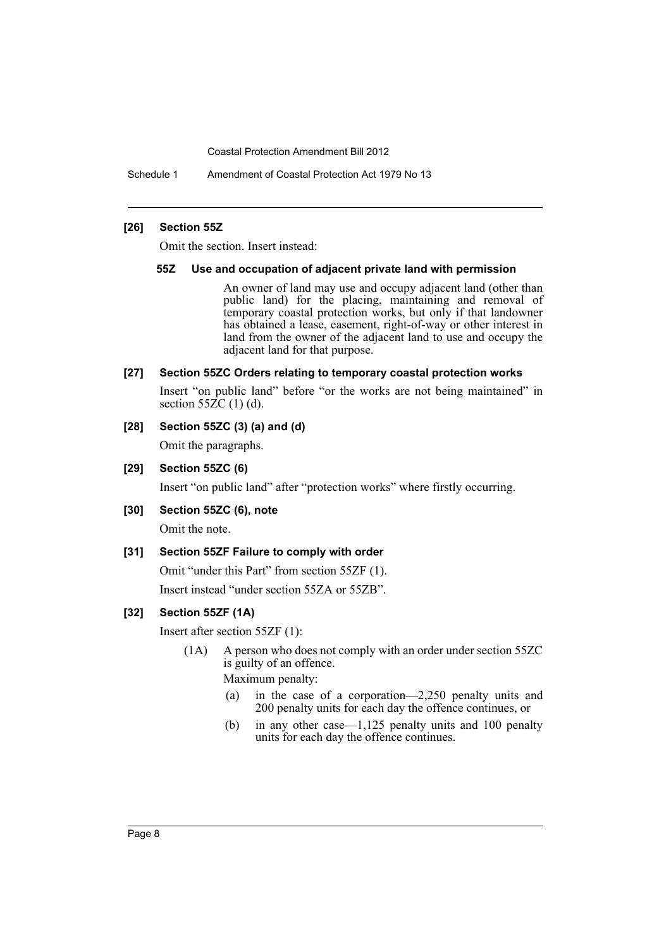Schedule 1 Amendment of Coastal Protection Act 1979 No 13

#### **[26] Section 55Z**

Omit the section. Insert instead:

#### **55Z Use and occupation of adjacent private land with permission**

An owner of land may use and occupy adjacent land (other than public land) for the placing, maintaining and removal of temporary coastal protection works, but only if that landowner has obtained a lease, easement, right-of-way or other interest in land from the owner of the adjacent land to use and occupy the adjacent land for that purpose.

### **[27] Section 55ZC Orders relating to temporary coastal protection works**

Insert "on public land" before "or the works are not being maintained" in section  $55\overline{2}C(1)(d)$ .

## **[28] Section 55ZC (3) (a) and (d)**

Omit the paragraphs.

**[29] Section 55ZC (6)**

Insert "on public land" after "protection works" where firstly occurring.

#### **[30] Section 55ZC (6), note**

Omit the note.

#### **[31] Section 55ZF Failure to comply with order**

Omit "under this Part" from section 55ZF (1).

Insert instead "under section 55ZA or 55ZB".

#### **[32] Section 55ZF (1A)**

Insert after section 55ZF (1):

(1A) A person who does not comply with an order under section 55ZC is guilty of an offence.

Maximum penalty:

- (a) in the case of a corporation—2,250 penalty units and 200 penalty units for each day the offence continues, or
- (b) in any other case—1,125 penalty units and 100 penalty units for each day the offence continues.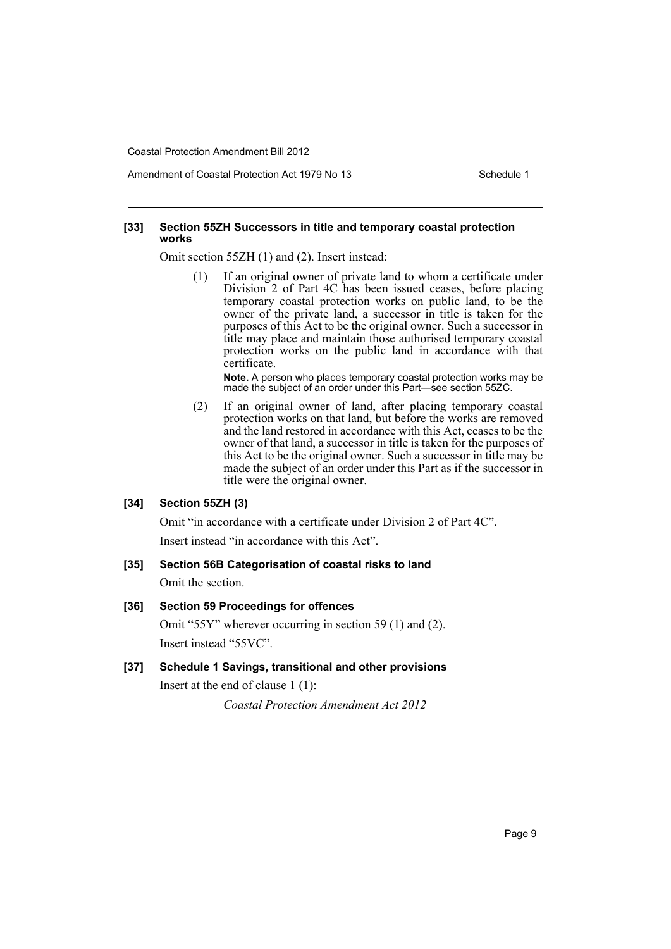Amendment of Coastal Protection Act 1979 No 13 Schedule 1

#### **[33] Section 55ZH Successors in title and temporary coastal protection works**

Omit section 55ZH (1) and (2). Insert instead:

(1) If an original owner of private land to whom a certificate under Division 2 of Part 4C has been issued ceases, before placing temporary coastal protection works on public land, to be the owner of the private land, a successor in title is taken for the purposes of this Act to be the original owner. Such a successor in title may place and maintain those authorised temporary coastal protection works on the public land in accordance with that certificate.

**Note.** A person who places temporary coastal protection works may be made the subject of an order under this Part—see section 55ZC.

(2) If an original owner of land, after placing temporary coastal protection works on that land, but before the works are removed and the land restored in accordance with this Act, ceases to be the owner of that land, a successor in title is taken for the purposes of this Act to be the original owner. Such a successor in title may be made the subject of an order under this Part as if the successor in title were the original owner.

#### **[34] Section 55ZH (3)**

Omit "in accordance with a certificate under Division 2 of Part 4C". Insert instead "in accordance with this Act".

#### **[35] Section 56B Categorisation of coastal risks to land**

Omit the section.

#### **[36] Section 59 Proceedings for offences**

Omit "55Y" wherever occurring in section 59 (1) and (2). Insert instead "55VC".

#### **[37] Schedule 1 Savings, transitional and other provisions**

Insert at the end of clause 1 (1):

*Coastal Protection Amendment Act 2012*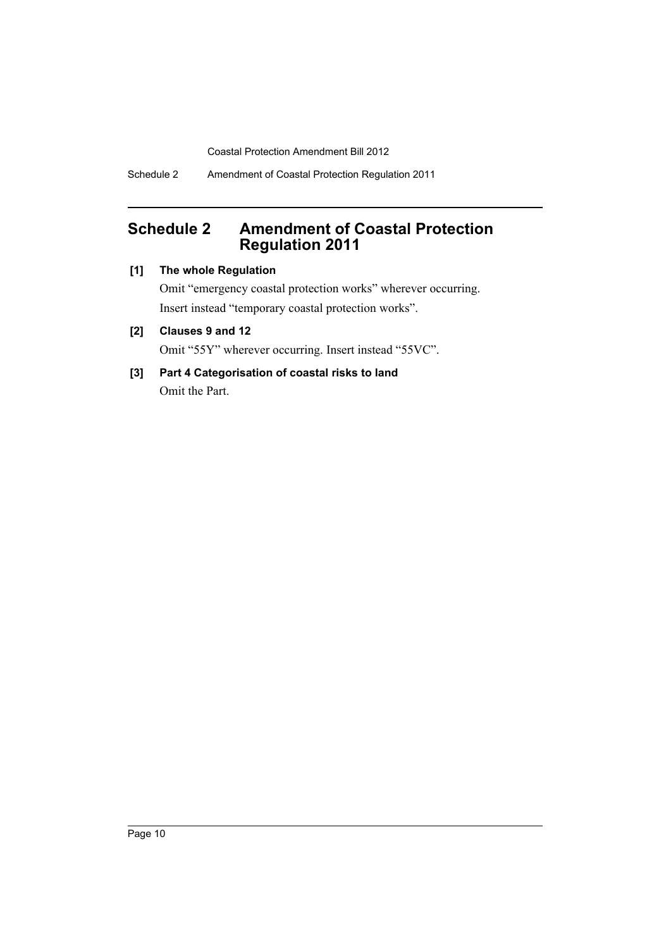Schedule 2 Amendment of Coastal Protection Regulation 2011

# <span id="page-11-0"></span>**Schedule 2 Amendment of Coastal Protection Regulation 2011**

## **[1] The whole Regulation**

Omit "emergency coastal protection works" wherever occurring. Insert instead "temporary coastal protection works".

## **[2] Clauses 9 and 12**

Omit "55Y" wherever occurring. Insert instead "55VC".

**[3] Part 4 Categorisation of coastal risks to land** Omit the Part.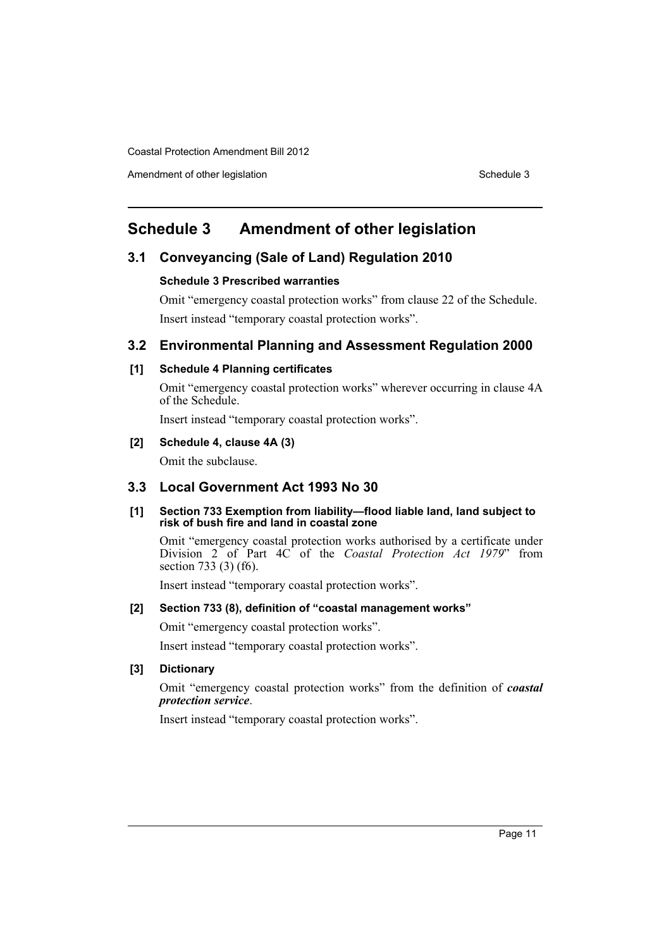Amendment of other legislation Schedule 3

# <span id="page-12-0"></span>**Schedule 3 Amendment of other legislation**

## **3.1 Conveyancing (Sale of Land) Regulation 2010**

#### **Schedule 3 Prescribed warranties**

Omit "emergency coastal protection works" from clause 22 of the Schedule. Insert instead "temporary coastal protection works".

## **3.2 Environmental Planning and Assessment Regulation 2000**

## **[1] Schedule 4 Planning certificates**

Omit "emergency coastal protection works" wherever occurring in clause 4A of the Schedule.

Insert instead "temporary coastal protection works".

## **[2] Schedule 4, clause 4A (3)**

Omit the subclause.

## **3.3 Local Government Act 1993 No 30**

#### **[1] Section 733 Exemption from liability—flood liable land, land subject to risk of bush fire and land in coastal zone**

Omit "emergency coastal protection works authorised by a certificate under Division 2 of Part 4C of the *Coastal Protection Act 1979*" from section 733 (3) (f6).

Insert instead "temporary coastal protection works".

## **[2] Section 733 (8), definition of "coastal management works"**

Omit "emergency coastal protection works".

Insert instead "temporary coastal protection works".

## **[3] Dictionary**

Omit "emergency coastal protection works" from the definition of *coastal protection service*.

Insert instead "temporary coastal protection works".